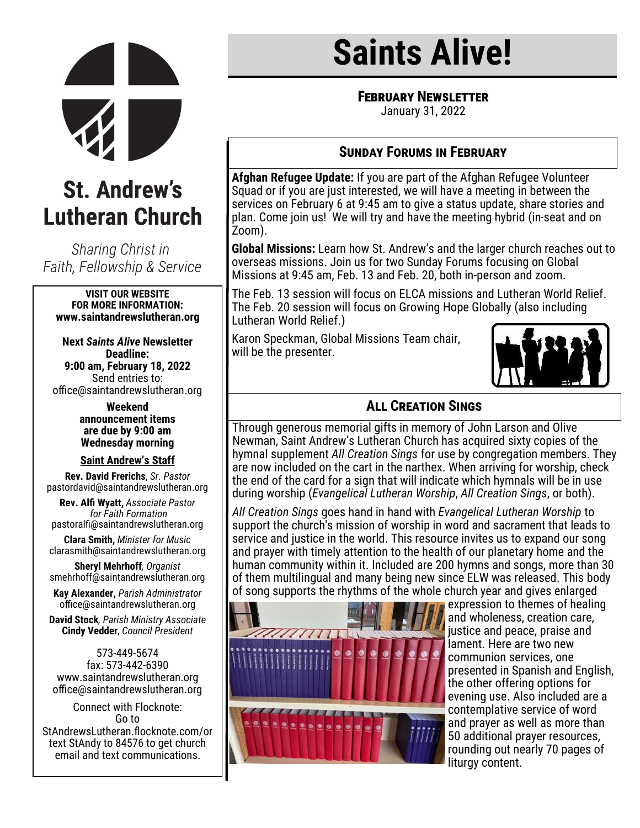

## **St. Andrew's Lutheran Church**

Sharing Christ in Faith, Fellowship & Service

#### **VISIT OUR WEBSITE FOR MORE INFORMATION: www.saintandrewslutheran.org**

**Next** *Saints Alive* **Newsletter Deadline: 9:00 am, February 18, 2022** Send entries to: office@saintandrewslutheran.org

> **Weekend announcement items are due by 9:00 am Wednesday morning**

#### **Saint Andrew's Staff**

**Rev. David Frerichs**, *Sr. Pastor* pastordavid@saintandrewslutheran.org

**Rev. Alfi Wyatt,** *Associate Pastor for Faith Formation* pastoralfi@saintandrewslutheran.org

**Clara Smith,** *Minister for Music* clarasmith@saintandrewslutheran.org

**Sheryl Mehrhoff***, Organist* smehrhoff@saintandrewslutheran.org

**Kay Alexander,** *Parish Administrator* office@saintandrewslutheran.org

**David Stock***, Parish Ministry Associate* **Cindy Vedder**, *Council President*

573-449-5674 fax: 573-442-6390 www.saintandrewslutheran.org office@saintandrewslutheran.org

Connect with Flocknote: Go to StAndrewsLutheran.flocknote.com/or text StAndy to 84576 to get church email and text communications.

# **Saints Alive!**

**FEBRUARY NEWSLETTER** 

January 31, 2022

## **Sunday Forums in February**

**Afghan Refugee Update:** If you are part of the Afghan Refugee Volunteer Squad or if you are just interested, we will have a meeting in between the services on February 6 at 9:45 am to give a status update, share stories and plan. Come join us! We will try and have the meeting hybrid (in-seat and on Zoom).

**Global Missions:** Learn how St. Andrew's and the larger church reaches out to overseas missions. Join us for two Sunday Forums focusing on Global Missions at 9:45 am, Feb. 13 and Feb. 20, both in-person and zoom.

The Feb. 13 session will focus on ELCA missions and Lutheran World Relief. The Feb. 20 session will focus on Growing Hope Globally (also including Lutheran World Relief.)

Karon Speckman, Global Missions Team chair, will be the presenter.



## **All Creation Sings**

Through generous memorial gifts in memory of John Larson and Olive Newman, Saint Andrew's Lutheran Church has acquired sixty copies of the hymnal supplement *All Creation Sings* for use by congregation members. They are now included on the cart in the narthex. When arriving for worship, check the end of the card for a sign that will indicate which hymnals will be in use during worship (*Evangelical Lutheran Worship*, *All Creation Sings*, or both).

*All Creation Sings* goes hand in hand with *Evangelical Lutheran Worship* to support the church's mission of worship in word and sacrament that leads to service and justice in the world. This resource invites us to expand our song and prayer with timely attention to the health of our planetary home and the human community within it. Included are 200 hymns and songs, more than 30 of them multilingual and many being new since ELW was released. This body of song supports the rhythms of the whole church year and gives enlarged



expression to themes of healing and wholeness, creation care, justice and peace, praise and lament. Here are two new communion services, one presented in Spanish and English, the other offering options for evening use. Also included are a contemplative service of word and prayer as well as more than 50 additional prayer resources, rounding out nearly 70 pages of liturgy content.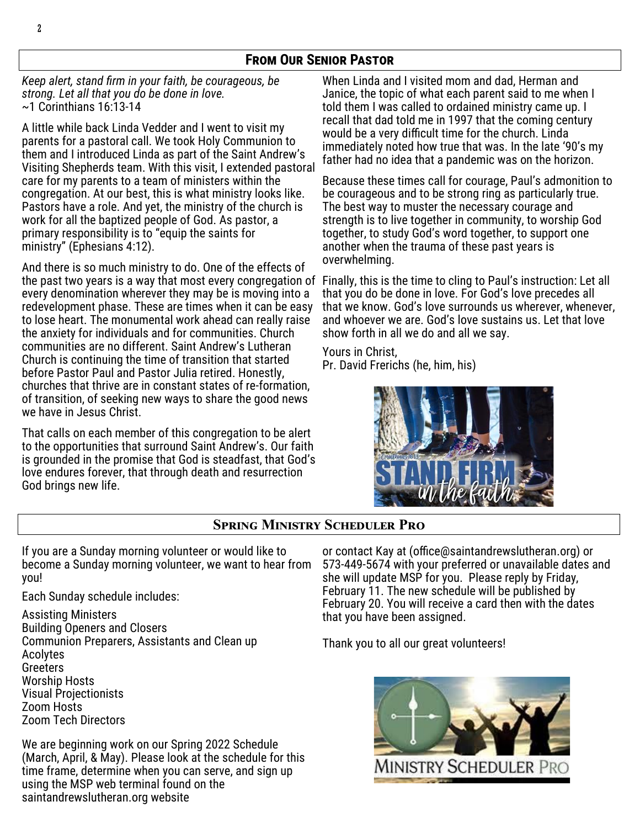## **From Our Senior Pastor**

*Keep alert, stand firm in your faith, be courageous, be strong. Let all that you do be done in love.*  ~1 Corinthians 16:13-14

A little while back Linda Vedder and I went to visit my parents for a pastoral call. We took Holy Communion to them and I introduced Linda as part of the Saint Andrew's Visiting Shepherds team. With this visit, I extended pastoral care for my parents to a team of ministers within the congregation. At our best, this is what ministry looks like. Pastors have a role. And yet, the ministry of the church is work for all the baptized people of God. As pastor, a primary responsibility is to "equip the saints for ministry" (Ephesians 4:12).

And there is so much ministry to do. One of the effects of the past two years is a way that most every congregation of Finally, this is the time to cling to Paul's instruction: Let all every denomination wherever they may be is moving into a redevelopment phase. These are times when it can be easy to lose heart. The monumental work ahead can really raise the anxiety for individuals and for communities. Church communities are no different. Saint Andrew's Lutheran Church is continuing the time of transition that started before Pastor Paul and Pastor Julia retired. Honestly, churches that thrive are in constant states of re-formation, of transition, of seeking new ways to share the good news we have in Jesus Christ.

That calls on each member of this congregation to be alert to the opportunities that surround Saint Andrew's. Our faith is grounded in the promise that God is steadfast, that God's love endures forever, that through death and resurrection God brings new life.

When Linda and I visited mom and dad, Herman and Janice, the topic of what each parent said to me when I told them I was called to ordained ministry came up. I recall that dad told me in 1997 that the coming century would be a very difficult time for the church. Linda immediately noted how true that was. In the late '90's my father had no idea that a pandemic was on the horizon.

Because these times call for courage, Paul's admonition to be courageous and to be strong ring as particularly true. The best way to muster the necessary courage and strength is to live together in community, to worship God together, to study God's word together, to support one another when the trauma of these past years is overwhelming.

that you do be done in love. For God's love precedes all that we know. God's love surrounds us wherever, whenever, and whoever we are. God's love sustains us. Let that love show forth in all we do and all we say.

Yours in Christ, Pr. David Frerichs (he, him, his)



### **Spring Ministry Scheduler Pro**

If you are a Sunday morning volunteer or would like to become a Sunday morning volunteer, we want to hear from you!

Each Sunday schedule includes:

Assisting Ministers Building Openers and Closers Communion Preparers, Assistants and Clean up Acolytes Greeters Worship Hosts Visual Projectionists Zoom Hosts Zoom Tech Directors

We are beginning work on our Spring 2022 Schedule (March, April, & May). Please look at the schedule for this time frame, determine when you can serve, and sign up using the MSP web terminal found on the saintandrewslutheran.org website

or contact Kay at (office@saintandrewslutheran.org) or 573-449-5674 with your preferred or unavailable dates and she will update MSP for you. Please reply by Friday, February 11. The new schedule will be published by February 20. You will receive a card then with the dates that you have been assigned.

Thank you to all our great volunteers!

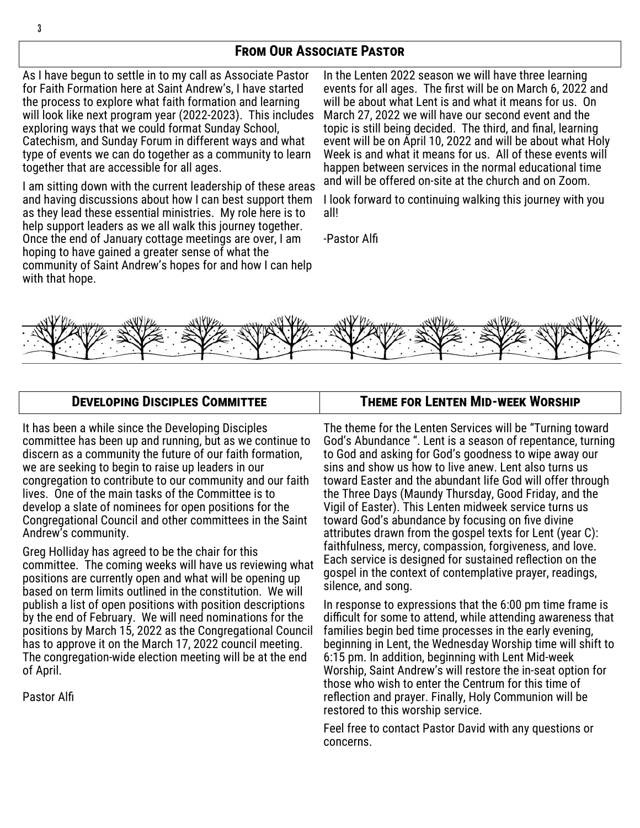## **From Our Associate Pastor**

As I have begun to settle in to my call as Associate Pastor for Faith Formation here at Saint Andrew's, I have started the process to explore what faith formation and learning will look like next program year (2022-2023). This includes exploring ways that we could format Sunday School, Catechism, and Sunday Forum in different ways and what type of events we can do together as a community to learn together that are accessible for all ages.

I am sitting down with the current leadership of these areas and having discussions about how I can best support them as they lead these essential ministries. My role here is to help support leaders as we all walk this journey together. Once the end of January cottage meetings are over, I am hoping to have gained a greater sense of what the community of Saint Andrew's hopes for and how I can help with that hope.

In the Lenten 2022 season we will have three learning events for all ages. The first will be on March 6, 2022 and will be about what Lent is and what it means for us. On March 27, 2022 we will have our second event and the topic is still being decided. The third, and final, learning event will be on April 10, 2022 and will be about what Holy Week is and what it means for us. All of these events will happen between services in the normal educational time and will be offered on-site at the church and on Zoom.

I look forward to continuing walking this journey with you all!

-Pastor Alfi



#### **Developing Disciples Committee**

It has been a while since the Developing Disciples committee has been up and running, but as we continue to discern as a community the future of our faith formation, we are seeking to begin to raise up leaders in our congregation to contribute to our community and our faith lives. One of the main tasks of the Committee is to develop a slate of nominees for open positions for the Congregational Council and other committees in the Saint Andrew's community.

Greg Holliday has agreed to be the chair for this committee. The coming weeks will have us reviewing what positions are currently open and what will be opening up based on term limits outlined in the constitution. We will publish a list of open positions with position descriptions by the end of February. We will need nominations for the positions by March 15, 2022 as the Congregational Council has to approve it on the March 17, 2022 council meeting. The congregation-wide election meeting will be at the end of April.

Pastor Alfi

#### **Theme for Lenten Mid-week Worship**

The theme for the Lenten Services will be "Turning toward God's Abundance ". Lent is a season of repentance, turning to God and asking for God's goodness to wipe away our sins and show us how to live anew. Lent also turns us toward Easter and the abundant life God will offer through the Three Days (Maundy Thursday, Good Friday, and the Vigil of Easter). This Lenten midweek service turns us toward God's abundance by focusing on five divine attributes drawn from the gospel texts for Lent (year C): faithfulness, mercy, compassion, forgiveness, and love. Each service is designed for sustained reflection on the gospel in the context of contemplative prayer, readings, silence, and song.

In response to expressions that the 6:00 pm time frame is difficult for some to attend, while attending awareness that families begin bed time processes in the early evening, beginning in Lent, the Wednesday Worship time will shift to 6:15 pm. In addition, beginning with Lent Mid-week Worship, Saint Andrew's will restore the in-seat option for those who wish to enter the Centrum for this time of reflection and prayer. Finally, Holy Communion will be restored to this worship service.

Feel free to contact Pastor David with any questions or concerns.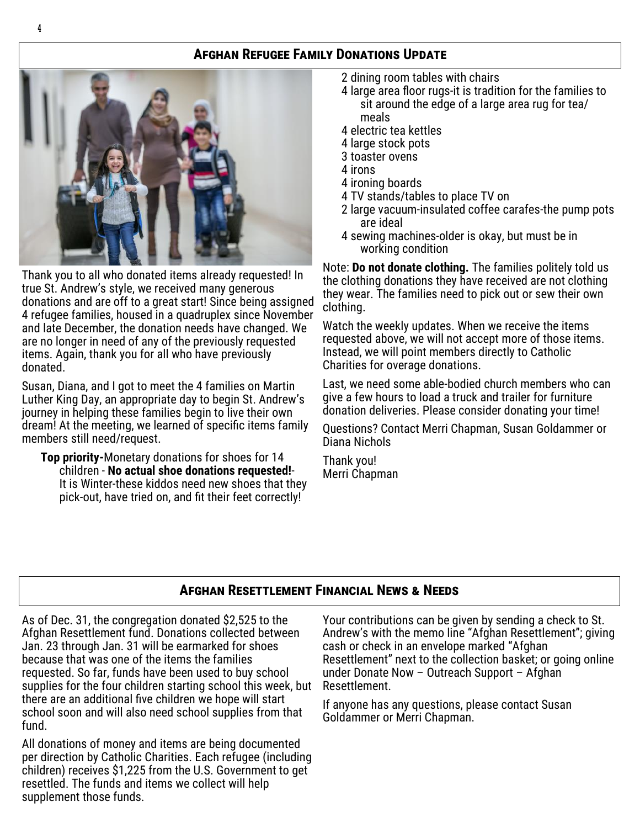## **Afghan Refugee Family Donations Update**



Thank you to all who donated items already requested! In true St. Andrew's style, we received many generous donations and are off to a great start! Since being assigned 4 refugee families, housed in a quadruplex since November and late December, the donation needs have changed. We are no longer in need of any of the previously requested items. Again, thank you for all who have previously donated.

Susan, Diana, and I got to meet the 4 families on Martin Luther King Day, an appropriate day to begin St. Andrew's journey in helping these families begin to live their own dream! At the meeting, we learned of specific items family members still need/request.

**Top priority-**Monetary donations for shoes for 14 children - **No actual shoe donations requested!**- It is Winter-these kiddos need new shoes that they pick-out, have tried on, and fit their feet correctly!

- 2 dining room tables with chairs
- 4 large area floor rugs-it is tradition for the families to sit around the edge of a large area rug for tea/ meals
- 4 electric tea kettles
- 4 large stock pots
- 3 toaster ovens
- 4 irons
- 4 ironing boards
- 4 TV stands/tables to place TV on
- 2 large vacuum-insulated coffee carafes-the pump pots are ideal
- 4 sewing machines-older is okay, but must be in working condition

Note: **Do not donate clothing.** The families politely told us the clothing donations they have received are not clothing they wear. The families need to pick out or sew their own clothing.

Watch the weekly updates. When we receive the items requested above, we will not accept more of those items. Instead, we will point members directly to Catholic Charities for overage donations.

Last, we need some able-bodied church members who can give a few hours to load a truck and trailer for furniture donation deliveries. Please consider donating your time!

Questions? Contact Merri Chapman, Susan Goldammer or Diana Nichols

Thank you! Merri Chapman

## **Afghan Resettlement Financial News & Needs**

As of Dec. 31, the congregation donated \$2,525 to the Afghan Resettlement fund. Donations collected between Jan. 23 through Jan. 31 will be earmarked for shoes because that was one of the items the families requested. So far, funds have been used to buy school supplies for the four children starting school this week, but there are an additional five children we hope will start school soon and will also need school supplies from that fund.

All donations of money and items are being documented per direction by Catholic Charities. Each refugee (including children) receives \$1,225 from the U.S. Government to get resettled. The funds and items we collect will help supplement those funds.

Your contributions can be given by sending a check to St. Andrew's with the memo line "Afghan Resettlement"; giving cash or check in an envelope marked "Afghan Resettlement" next to the collection basket; or going online under Donate Now – Outreach Support – Afghan Resettlement.

If anyone has any questions, please contact Susan Goldammer or Merri Chapman.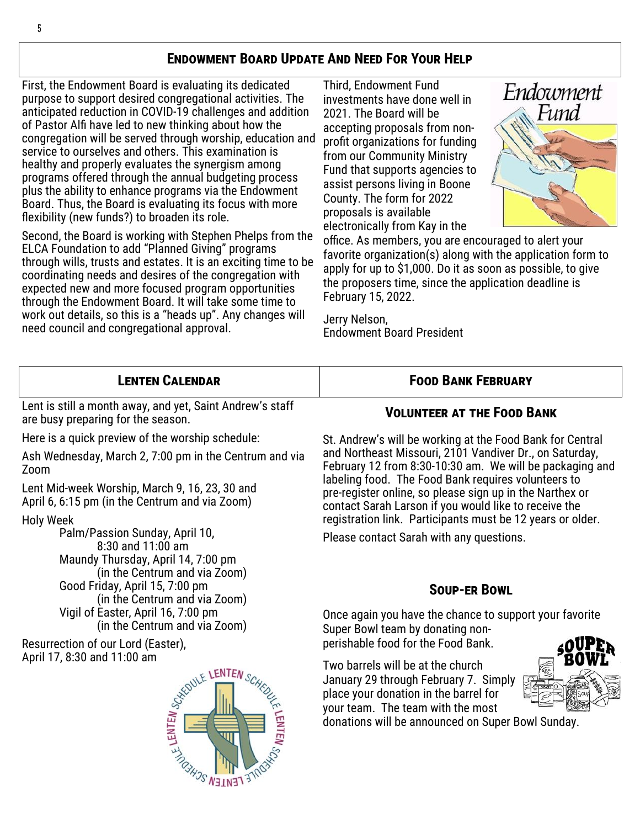## **Endowment Board Update And Need For Your Help**

First, the Endowment Board is evaluating its dedicated purpose to support desired congregational activities. The anticipated reduction in COVID-19 challenges and addition of Pastor Alfi have led to new thinking about how the congregation will be served through worship, education and service to ourselves and others. This examination is healthy and properly evaluates the synergism among programs offered through the annual budgeting process plus the ability to enhance programs via the Endowment Board. Thus, the Board is evaluating its focus with more flexibility (new funds?) to broaden its role.

Second, the Board is working with Stephen Phelps from the ELCA Foundation to add "Planned Giving" programs through wills, trusts and estates. It is an exciting time to be coordinating needs and desires of the congregation with expected new and more focused program opportunities through the Endowment Board. It will take some time to work out details, so this is a "heads up". Any changes will need council and congregational approval.

Third, Endowment Fund investments have done well in 2021. The Board will be accepting proposals from nonprofit organizations for funding from our Community Ministry Fund that supports agencies to assist persons living in Boone County. The form for 2022 proposals is available electronically from Kay in the



office. As members, you are encouraged to alert your favorite organization(s) along with the application form to apply for up to \$1,000. Do it as soon as possible, to give the proposers time, since the application deadline is February 15, 2022.

Jerry Nelson, Endowment Board President

#### **Food Bank February Lenten Calendar**

Lent is still a month away, and yet, Saint Andrew's staff are busy preparing for the season.

Here is a quick preview of the worship schedule:

Ash Wednesday, March 2, 7:00 pm in the Centrum and via Zoom

Lent Mid-week Worship, March 9, 16, 23, 30 and April 6, 6:15 pm (in the Centrum and via Zoom)

#### Holy Week

Palm/Passion Sunday, April 10, 8:30 and 11:00 am Maundy Thursday, April 14, 7:00 pm (in the Centrum and via Zoom) Good Friday, April 15, 7:00 pm (in the Centrum and via Zoom) Vigil of Easter, April 16, 7:00 pm (in the Centrum and via Zoom)

Resurrection of our Lord (Easter), April 17, 8:30 and 11:00 am



#### **Volunteer at the Food Bank**

St. Andrew's will be working at the Food Bank for Central and Northeast Missouri, 2101 Vandiver Dr., on Saturday, February 12 from 8:30-10:30 am. We will be packaging and labeling food. The Food Bank requires volunteers to pre-register online, so please sign up in the Narthex or contact Sarah Larson if you would like to receive the registration link. Participants must be 12 years or older.

Please contact Sarah with any questions.

#### **Soup-er Bowl**

Once again you have the chance to support your favorite Super Bowl team by donating nonperishable food for the Food Bank.

Two barrels will be at the church January 29 through February 7. Simply place your donation in the barrel for your team. The team with the most

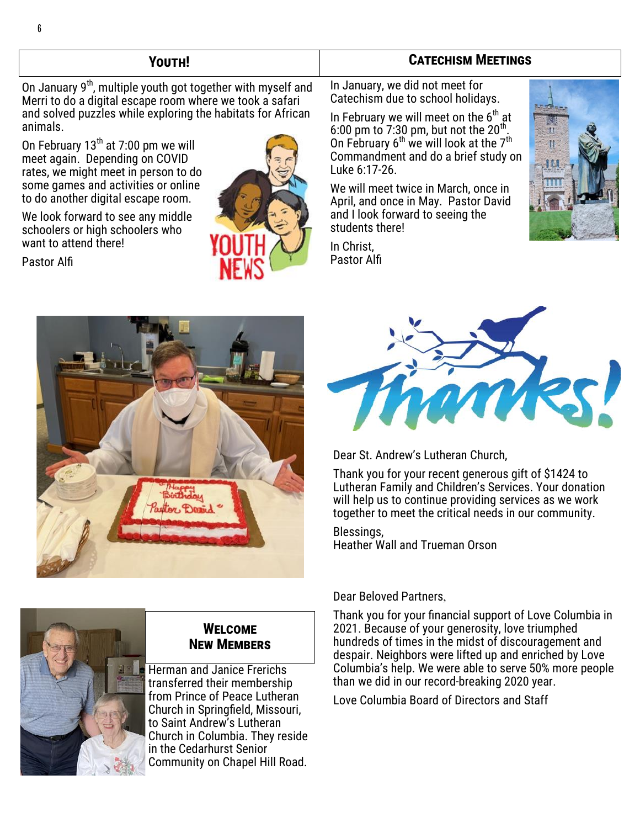### **Youth!**

On January  $9<sup>th</sup>$ , multiple youth got together with myself and Merri to do a digital escape room where we took a safari and solved puzzles while exploring the habitats for African animals.

On February  $13<sup>th</sup>$  at 7:00 pm we will meet again. Depending on COVID rates, we might meet in person to do some games and activities or online to do another digital escape room.

We look forward to see any middle schoolers or high schoolers who want to attend there!

Pastor Alfi



### **Catechism Meetings**

In January, we did not meet for Catechism due to school holidays.

In February we will meet on the  $6<sup>th</sup>$  at 6:00 pm to 7:30 pm, but not the 20<sup>th</sup>. On February  $6<sup>th</sup>$  we will look at the  $7<sup>th</sup>$ Commandment and do a brief study on Luke 6:17-26.

We will meet twice in March, once in April, and once in May. Pastor David and I look forward to seeing the students there!

In Christ, Pastor Alfi







Dear St. Andrew's Lutheran Church,

Thank you for your recent generous gift of \$1424 to Lutheran Family and Children's Services. Your donation will help us to continue providing services as we work together to meet the critical needs in our community.

Blessings, Heather Wall and Trueman Orson

## Herman and Janice Frerichs **Welcome New Members**

transferred their membership from Prince of Peace Lutheran Church in Springfield, Missouri, to Saint Andrew's Lutheran Church in Columbia. They reside in the Cedarhurst Senior Community on Chapel Hill Road.

#### Dear Beloved Partners,

Thank you for your financial support of Love Columbia in 2021. Because of your generosity, love triumphed hundreds of times in the midst of discouragement and despair. Neighbors were lifted up and enriched by Love Columbia's help. We were able to serve 50% more people than we did in our record-breaking 2020 year.

Love Columbia Board of Directors and Staff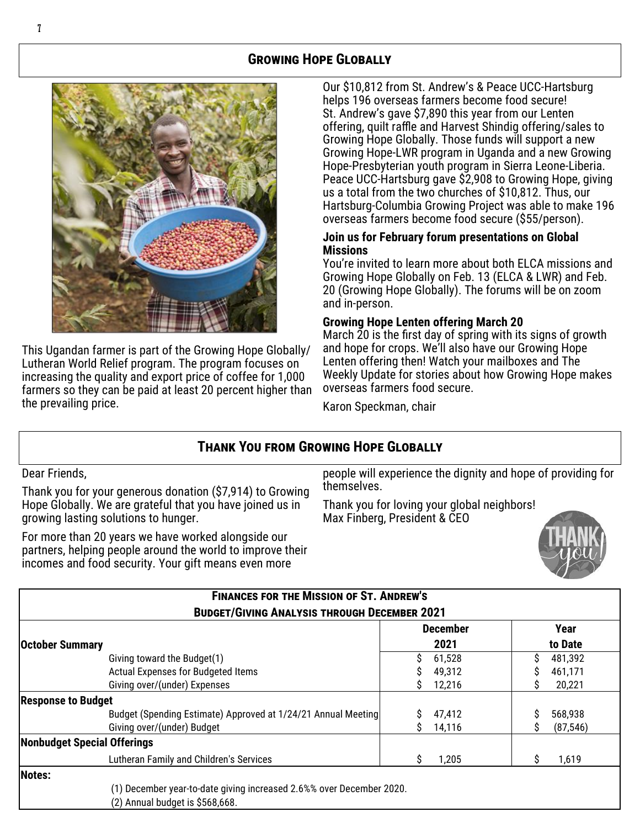## **Growing Hope Globally**



This Ugandan farmer is part of the Growing Hope Globally/ Lutheran World Relief program. The program focuses on increasing the quality and export price of coffee for 1,000 farmers so they can be paid at least 20 percent higher than the prevailing price.

Our \$10,812 from St. Andrew's & Peace UCC-Hartsburg helps 196 overseas farmers become food secure! St. Andrew's gave \$7,890 this year from our Lenten offering, quilt raffle and Harvest Shindig offering/sales to Growing Hope Globally. Those funds will support a new Growing Hope-LWR program in Uganda and a new Growing Hope-Presbyterian youth program in Sierra Leone-Liberia. Peace UCC-Hartsburg gave \$2,908 to Growing Hope, giving us a total from the two churches of \$10,812. Thus, our Hartsburg-Columbia Growing Project was able to make 196 overseas farmers become food secure (\$55/person).

#### **Join us for February forum presentations on Global Missions**

You're invited to learn more about both ELCA missions and Growing Hope Globally on Feb. 13 (ELCA & LWR) and Feb. 20 (Growing Hope Globally). The forums will be on zoom and in-person.

#### **Growing Hope Lenten offering March 20**

March 20 is the first day of spring with its signs of growth and hope for crops. We'll also have our Growing Hope Lenten offering then! Watch your mailboxes and The Weekly Update for stories about how Growing Hope makes overseas farmers food secure.

Karon Speckman, chair

## **Thank You from Growing Hope Globally**

Dear Friends,

Thank you for your generous donation (\$7,914) to Growing Hope Globally. We are grateful that you have joined us in growing lasting solutions to hunger.

For more than 20 years we have worked alongside our partners, helping people around the world to improve their incomes and food security. Your gift means even more

(2) Annual budget is \$568,668.

people will experience the dignity and hope of providing for themselves.

Thank you for loving your global neighbors! Max Finberg, President & CEO



| <b>FINANCES FOR THE MISSION OF ST. ANDREW'S</b><br><b>BUDGET/GIVING ANALYSIS THROUGH DECEMBER 2021</b> |                         |                 |  |  |
|--------------------------------------------------------------------------------------------------------|-------------------------|-----------------|--|--|
| <b>October Summary</b>                                                                                 | <b>December</b><br>2021 | Year<br>to Date |  |  |
| Giving toward the Budget(1)                                                                            | S<br>61,528             | S<br>481,392    |  |  |
| Actual Expenses for Budgeted Items                                                                     | 49,312                  | 461,171         |  |  |
| Giving over/(under) Expenses                                                                           | 12,216                  | 20,221<br>S     |  |  |
| <b>Response to Budget</b>                                                                              |                         |                 |  |  |
| Budget (Spending Estimate) Approved at 1/24/21 Annual Meeting                                          | 47,412                  | 568,938         |  |  |
| Giving over/(under) Budget                                                                             | 14,116                  | (87, 546)<br>S  |  |  |
| Nonbudget Special Offerings                                                                            |                         |                 |  |  |
| Lutheran Family and Children's Services                                                                | 1,205                   | S<br>1,619      |  |  |
| Notes:                                                                                                 |                         |                 |  |  |
| (1) December year-to-date giving increased 2.6%% over December 2020.                                   |                         |                 |  |  |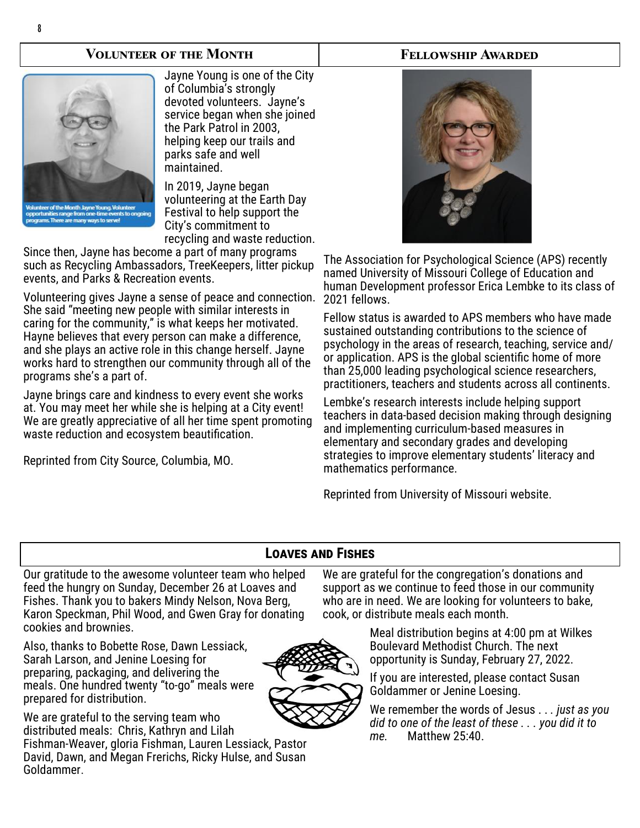#### **Volunteer of the Month**



Jayne Young is one of the City of Columbia's strongly devoted volunteers. Jayne's service began when she joined the Park Patrol in 2003, helping keep our trails and parks safe and well maintained.

In 2019, Jayne began volunteering at the Earth Day Festival to help support the City's commitment to recycling and waste reduction.

Since then, Jayne has become a part of many programs such as Recycling Ambassadors, TreeKeepers, litter pickup events, and Parks & Recreation events.

Volunteering gives Jayne a sense of peace and connection. She said "meeting new people with similar interests in caring for the community," is what keeps her motivated. Hayne believes that every person can make a difference, and she plays an active role in this change herself. Jayne works hard to strengthen our community through all of the programs she's a part of.

Jayne brings care and kindness to every event she works at. You may meet her while she is helping at a City event! We are greatly appreciative of all her time spent promoting waste reduction and ecosystem beautification.

Reprinted from City Source, Columbia, MO.



**Fellowship Awarded**

The Association for Psychological Science (APS) recently named University of Missouri College of Education and human Development professor Erica Lembke to its class of 2021 fellows.

Fellow status is awarded to APS members who have made sustained outstanding contributions to the science of psychology in the areas of research, teaching, service and/ or application. APS is the global scientific home of more than 25,000 leading psychological science researchers, practitioners, teachers and students across all continents.

Lembke's research interests include helping support teachers in data-based decision making through designing and implementing curriculum-based measures in elementary and secondary grades and developing strategies to improve elementary students' literacy and mathematics performance.

Reprinted from University of Missouri website.

## **Loaves and Fishes**

Our gratitude to the awesome volunteer team who helped feed the hungry on Sunday, December 26 at Loaves and Fishes. Thank you to bakers Mindy Nelson, Nova Berg, Karon Speckman, Phil Wood, and Gwen Gray for donating cookies and brownies.

Fishman-Weaver, gloria Fishman, Lauren Lessiack, Pastor David, Dawn, and Megan Frerichs, Ricky Hulse, and Susan

Also, thanks to Bobette Rose, Dawn Lessiack, Sarah Larson, and Jenine Loesing for preparing, packaging, and delivering the meals. One hundred twenty "to-go" meals were prepared for distribution.

We are grateful to the serving team who distributed meals: Chris, Kathryn and Lilah

Goldammer.



We are grateful for the congregation's donations and support as we continue to feed those in our community who are in need. We are looking for volunteers to bake, cook, or distribute meals each month.

> Meal distribution begins at 4:00 pm at Wilkes Boulevard Methodist Church. The next opportunity is Sunday, February 27, 2022.

If you are interested, please contact Susan Goldammer or Jenine Loesing.

We remember the words of Jesus . . *. just as you did to one of the least of these . . . you did it to me.* Matthew 25:40.

#### 8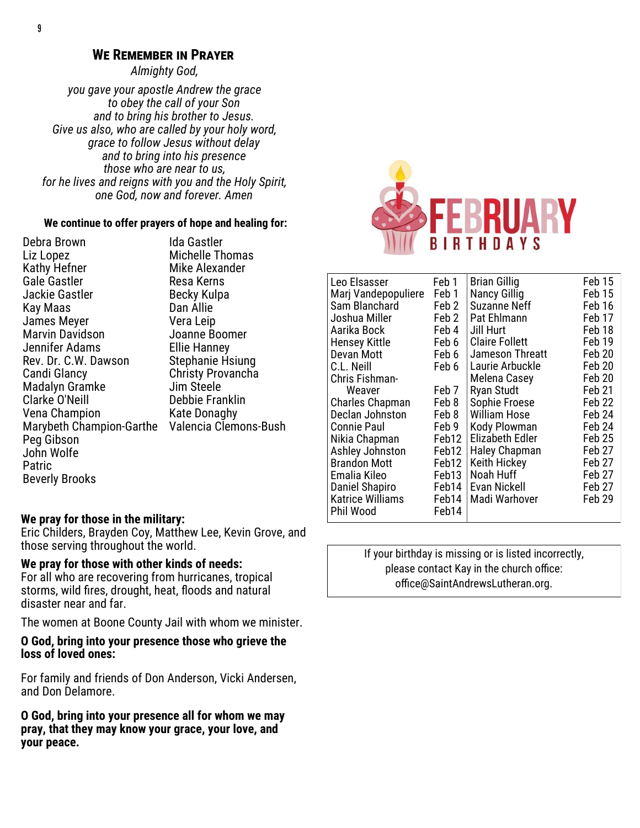#### **We Remember in Prayer**

*Almighty God,* 

*you gave your apostle Andrew the grace to obey the call of your Son and to bring his brother to Jesus. Give us also, who are called by your holy word, grace to follow Jesus without delay and to bring into his presence those who are near to us, for he lives and reigns with you and the Holy Spirit, one God, now and forever. Amen*

#### **We continue to offer prayers of hope and healing for:**

Debra Brown Liz Lopez Kathy Hefner Gale Gastler Jackie Gastler Kay Maas James Meyer Marvin Davidson Jennifer Adams Rev. Dr. C.W. Dawson Candi Glancy Madalyn Gramke Clarke O'Neill Vena Champion Marybeth Champion-Garthe Valencia Clemons-Bush Peg Gibson John Wolfe Patric Beverly Brooks

Ida Gastler Michelle Thomas Mike Alexander Resa Kerns Becky Kulpa Dan Allie Vera Leip Joanne Boomer Ellie Hanney Stephanie Hsiung Christy Provancha Jim Steele Debbie Franklin Kate Donaghy



| Leo Elsasser            | Feb 1 | <b>Brian Gillig</b>    | Feb 15            |
|-------------------------|-------|------------------------|-------------------|
| Marj Vandepopuliere     | Feb 1 | <b>Nancy Gillig</b>    | Feb 15            |
| Sam Blanchard           | Feb 2 | <b>Suzanne Neff</b>    | Feb 16            |
| Joshua Miller           | Feb 2 | Pat Ehlmann            | Feb 17            |
| Aarika Bock             | Feb 4 | Jill Hurt              | Feb 18            |
| <b>Hensey Kittle</b>    | Feb 6 | <b>Claire Follett</b>  | Feb <sub>19</sub> |
| Devan Mott              | Feb 6 | Jameson Threatt        | Feb 20            |
| C.L. Neill              | Feb 6 | Laurie Arbuckle        | Feb 20            |
| Chris Fishman-          |       | Melena Casey           | Feb <sub>20</sub> |
| Weaver                  | Feb 7 | <b>Ryan Studt</b>      | Feb 21            |
| <b>Charles Chapman</b>  | Feb 8 | Sophie Froese          | Feb <sub>22</sub> |
| Declan Johnston         | Feb 8 | <b>William Hose</b>    | Feb <sub>24</sub> |
| <b>Connie Paul</b>      | Feb 9 | Kody Plowman           | Feb 24            |
| Nikia Chapman           | Feb12 | <b>Elizabeth Edler</b> | Feb 25            |
| Ashley Johnston         | Feb12 | <b>Haley Chapman</b>   | Feb 27            |
| <b>Brandon Mott</b>     | Feb12 | Keith Hickey           | Feb <sub>27</sub> |
| Emalia Kileo            | Feb13 | Noah Huff              | Feb <sub>27</sub> |
| Daniel Shapiro          | Feb14 | Evan Nickell           | Feb 27            |
| <b>Katrice Williams</b> | Feb14 | Madi Warhover          | Feb 29            |
| Phil Wood               | Feb14 |                        |                   |

If your birthday is missing or is listed incorrectly, please contact Kay in the church office: office@SaintAndrewsLutheran.org.

#### **We pray for those in the military:**

Eric Childers, Brayden Coy, Matthew Lee, Kevin Grove, and those serving throughout the world.

#### **We pray for those with other kinds of needs:**

For all who are recovering from hurricanes, tropical storms, wild fires, drought, heat, floods and natural disaster near and far.

The women at Boone County Jail with whom we minister.

**O God, bring into your presence those who grieve the loss of loved ones:**

For family and friends of Don Anderson, Vicki Andersen, and Don Delamore.

**O God, bring into your presence all for whom we may pray, that they may know your grace, your love, and your peace.**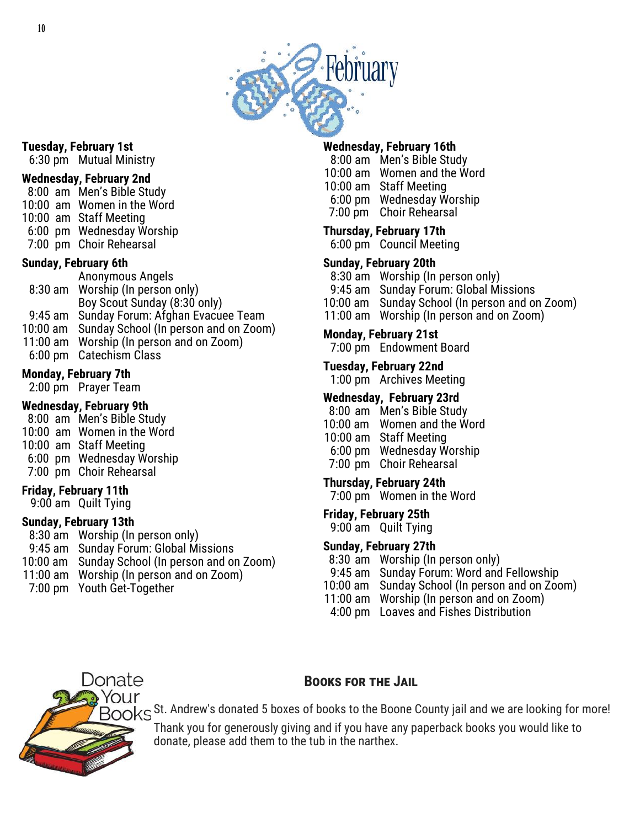

#### **Tuesday, February 1st**

6:30 pm Mutual Ministry

#### **Wednesday, February 2nd**

8:00 am Men's Bible Study

- 10:00 am Women in the Word
- 10:00 am Staff Meeting
- 6:00 pm Wednesday Worship
- 7:00 pm Choir Rehearsal

#### **Sunday, February 6th**

Anonymous Angels 8:30 am Worship (In person only) Boy Scout Sunday (8:30 only) 9:45 am Sunday Forum: Afghan Evacuee Team 10:00 am Sunday School (In person and on Zoom) 11:00 am Worship (In person and on Zoom) 6:00 pm Catechism Class 

#### **Monday, February 7th**

2:00 pm Prayer Team

#### **Wednesday, February 9th**

8:00 am Men's Bible Study

- 10:00 am Women in the Word
- 10:00 am Staff Meeting
- 6:00 pm Wednesday Worship
- 7:00 pm Choir Rehearsal

#### **Friday, February 11th**

9:00 am Quilt Tying

#### **Sunday, February 13th**

- 8:30 am Worship (In person only)
- 9:45 am Sunday Forum: Global Missions
- 10:00 am Sunday School (In person and on Zoom)
- 11:00 am Worship (In person and on Zoom)
- 7:00 pm Youth Get-Together

#### **Wednesday, February 16th**

- 8:00 am Men's Bible Study 10:00 am Women and the Word 10:00 am Staff Meeting
- 6:00 pm Wednesday Worship
- 7:00 pm Choir Rehearsal

#### **Thursday, February 17th**

6:00 pm Council Meeting

#### **Sunday, February 20th**

- 8:30 am Worship (In person only)
- 9:45 am Sunday Forum: Global Missions
- 10:00 am Sunday School (In person and on Zoom)
- 11:00 am Worship (In person and on Zoom)

#### **Monday, February 21st**

7:00 pm Endowment Board

#### **Tuesday, February 22nd**

1:00 pm Archives Meeting

#### **Wednesday, February 23rd**

- 8:00 am Men's Bible Study
- 10:00 am Women and the Word
- 10:00 am Staff Meeting
- 6:00 pm Wednesday Worship
- 7:00 pm Choir Rehearsal

#### **Thursday, February 24th**

7:00 pm Women in the Word

#### **Friday, February 25th** 9:00 am Quilt Tying

#### **Sunday, February 27th**

- 8:30 am Worship (In person only)
- 9:45 am Sunday Forum: Word and Fellowship
- 10:00 am Sunday School (In person and on Zoom)
- 11:00 am Worship (In person and on Zoom)
- 4:00 pm Loaves and Fishes Distribution



#### **Books for the Jail**

BOOKS St. Andrew's donated 5 boxes of books to the Boone County jail and we are looking for more! Thank you for generously giving and if you have any paperback books you would like to donate, please add them to the tub in the narthex.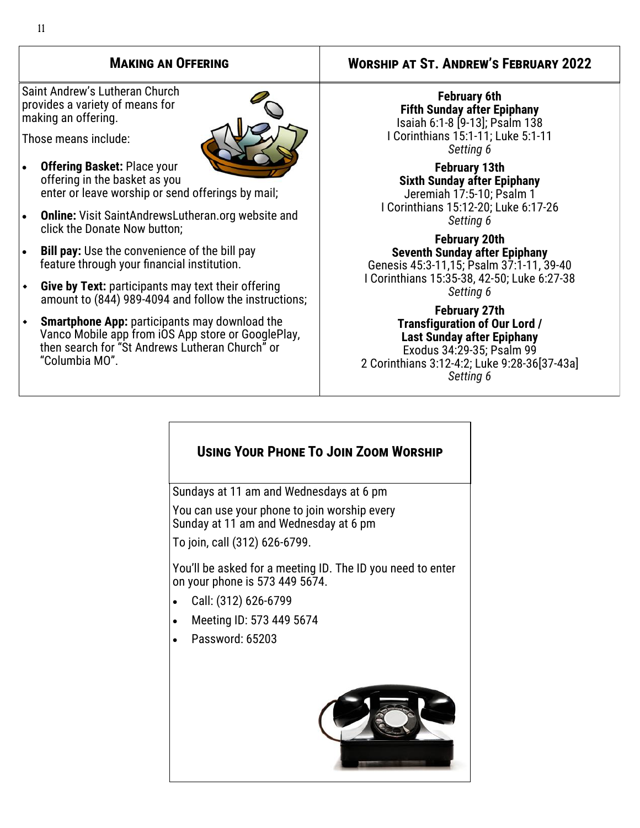Saint Andrew's Lutheran Church provides a variety of means for making an offering.

Those means include:

- **Offering Basket:** Place your offering in the basket as you enter or leave worship or send offerings by mail;
- **Online:** Visit SaintAndrewsLutheran.org website and click the Donate Now button;
- **Bill pay:** Use the convenience of the bill pay feature through your financial institution.
- **Give by Text:** participants may text their offering amount to (844) 989-4094 and follow the instructions;
- **Smartphone App:** participants may download the Vanco Mobile app from iOS App store or GooglePlay, then search for "St Andrews Lutheran Church" or "Columbia MO".

#### **Making an Offering Worship at St. Andrew's February 2022**

**February 6th Fifth Sunday after Epiphany** Isaiah 6:1-8 [9-13]; Psalm 138 I Corinthians 15:1-11; Luke 5:1-11 *Setting 6*

**February 13th Sixth Sunday after Epiphany** Jeremiah 17:5-10; Psalm 1 I Corinthians 15:12-20; Luke 6:17-26 *Setting 6*

**February 20th Seventh Sunday after Epiphany** Genesis 45:3-11,15; Psalm 37:1-11, 39-40 I Corinthians 15:35-38, 42-50; Luke 6:27-38 *Setting 6*

**February 27th Transfiguration of Our Lord / Last Sunday after Epiphany** Exodus 34:29-35; Psalm 99 2 Corinthians 3:12-4:2; Luke 9:28-36[37-43a] *Setting 6*

## **Using Your Phone To Join Zoom Worship**

Sundays at 11 am and Wednesdays at 6 pm

You can use your phone to join worship every Sunday at 11 am and Wednesday at 6 pm

To join, call (312) 626-6799.

You'll be asked for a meeting ID. The ID you need to enter on your phone is 573 449 5674.

- Call: (312) 626-6799
- Meeting ID: 573 449 5674
- Ī Password: 65203